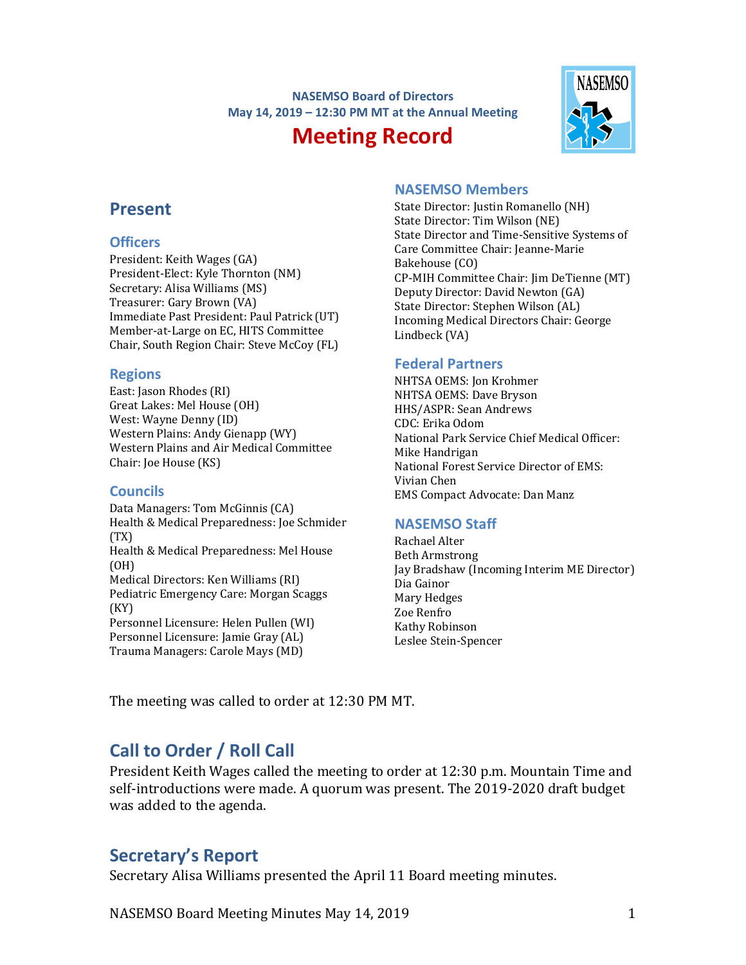## **NASEMSO Board of Directors May 14, 2019 – 12:30 PM MT at the Annual Meeting**

# **Meeting Record**



## **Present**

#### **Officers**

President: Keith Wages (GA) President-Elect: Kyle Thornton (NM) Secretary: Alisa Williams (MS) Treasurer: Gary Brown (VA) Immediate Past President: Paul Patrick (UT) Member-at-Large on EC, HITS Committee Chair, South Region Chair: Steve McCoy (FL)

## **Regions**

East: Jason Rhodes (RI) Great Lakes: Mel House (OH) West: Wayne Denny (ID) Western Plains: Andy Gienapp (WY) Western Plains and Air Medical Committee Chair: Joe House (KS)

## **Councils**

Data Managers: Tom McGinnis (CA) Health & Medical Preparedness: Joe Schmider (TX) Health & Medical Preparedness: Mel House (OH) Medical Directors: Ken Williams (RI) Pediatric Emergency Care: Morgan Scaggs (KY) Personnel Licensure: Helen Pullen (WI) Personnel Licensure: Jamie Gray (AL) Trauma Managers: Carole Mays (MD)

## **NASEMSO Members**

State Director: Justin Romanello (NH) State Director: Tim Wilson (NE) State Director and Time-Sensitive Systems of Care Committee Chair: Jeanne-Marie Bakehouse (CO) CP-MIH Committee Chair: Jim DeTienne (MT) Deputy Director: David Newton (GA) State Director: Stephen Wilson (AL) Incoming Medical Directors Chair: George Lindbeck (VA)

## **Federal Partners**

NHTSA OEMS: Jon Krohmer NHTSA OEMS: Dave Bryson HHS/ASPR: Sean Andrews CDC: Erika Odom National Park Service Chief Medical Officer: Mike Handrigan National Forest Service Director of EMS: Vivian Chen EMS Compact Advocate: Dan Manz

## **NASEMSO Staff**

Rachael Alter Beth Armstrong Jay Bradshaw (Incoming Interim ME Director) Dia Gainor Mary Hedges Zoe Renfro Kathy Robinson Leslee Stein-Spencer

The meeting was called to order at 12:30 PM MT.

## **Call to Order / Roll Call**

President Keith Wages called the meeting to order at 12:30 p.m. Mountain Time and self-introductions were made. A quorum was present. The 2019-2020 draft budget was added to the agenda.

## **Secretary's Report**

Secretary Alisa Williams presented the April 11 Board meeting minutes.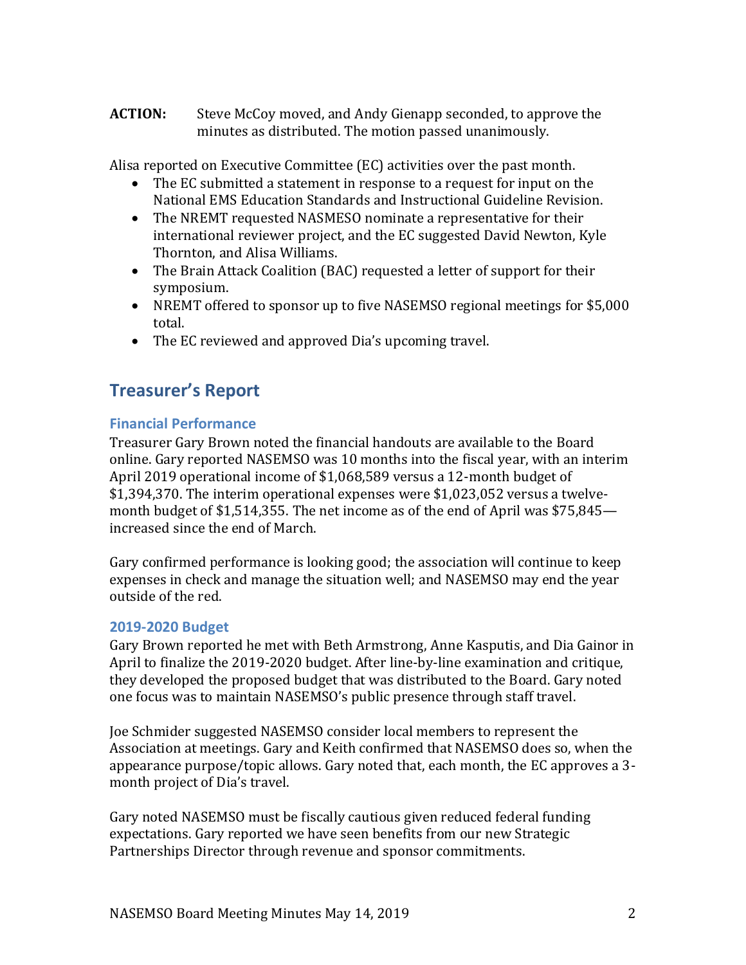**ACTION:** Steve McCoy moved, and Andy Gienapp seconded, to approve the minutes as distributed. The motion passed unanimously.

Alisa reported on Executive Committee (EC) activities over the past month.

- The EC submitted a statement in response to a request for input on the National EMS Education Standards and Instructional Guideline Revision.
- The NREMT requested NASMESO nominate a representative for their international reviewer project, and the EC suggested David Newton, Kyle Thornton, and Alisa Williams.
- The Brain Attack Coalition (BAC) requested a letter of support for their symposium.
- NREMT offered to sponsor up to five NASEMSO regional meetings for \$5,000 total.
- The EC reviewed and approved Dia's upcoming travel.

## **Treasurer's Report**

## **Financial Performance**

Treasurer Gary Brown noted the financial handouts are available to the Board online. Gary reported NASEMSO was 10 months into the fiscal year, with an interim April 2019 operational income of \$1,068,589 versus a 12-month budget of \$1,394,370. The interim operational expenses were \$1,023,052 versus a twelvemonth budget of \$1,514,355. The net income as of the end of April was \$75,845 increased since the end of March.

Gary confirmed performance is looking good; the association will continue to keep expenses in check and manage the situation well; and NASEMSO may end the year outside of the red.

## **2019-2020 Budget**

Gary Brown reported he met with Beth Armstrong, Anne Kasputis, and Dia Gainor in April to finalize the 2019-2020 budget. After line-by-line examination and critique, they developed the proposed budget that was distributed to the Board. Gary noted one focus was to maintain NASEMSO's public presence through staff travel.

Joe Schmider suggested NASEMSO consider local members to represent the Association at meetings. Gary and Keith confirmed that NASEMSO does so, when the appearance purpose/topic allows. Gary noted that, each month, the EC approves a 3 month project of Dia's travel.

Gary noted NASEMSO must be fiscally cautious given reduced federal funding expectations. Gary reported we have seen benefits from our new Strategic Partnerships Director through revenue and sponsor commitments.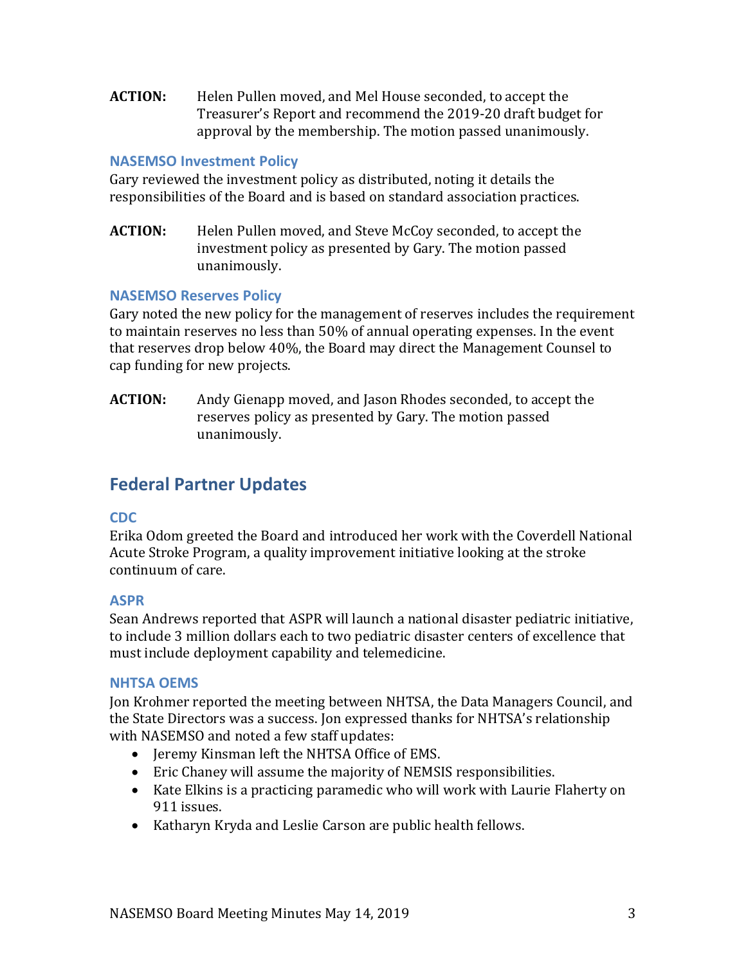**ACTION:** Helen Pullen moved, and Mel House seconded, to accept the Treasurer's Report and recommend the 2019-20 draft budget for approval by the membership. The motion passed unanimously.

## **NASEMSO Investment Policy**

Gary reviewed the investment policy as distributed, noting it details the responsibilities of the Board and is based on standard association practices.

**ACTION:** Helen Pullen moved, and Steve McCoy seconded, to accept the investment policy as presented by Gary. The motion passed unanimously.

## **NASEMSO Reserves Policy**

Gary noted the new policy for the management of reserves includes the requirement to maintain reserves no less than 50% of annual operating expenses. In the event that reserves drop below 40%, the Board may direct the Management Counsel to cap funding for new projects.

**ACTION:** Andy Gienapp moved, and Jason Rhodes seconded, to accept the reserves policy as presented by Gary. The motion passed unanimously.

## **Federal Partner Updates**

## **CDC**

Erika Odom greeted the Board and introduced her work with the Coverdell National Acute Stroke Program, a quality improvement initiative looking at the stroke continuum of care.

## **ASPR**

Sean Andrews reported that ASPR will launch a national disaster pediatric initiative, to include 3 million dollars each to two pediatric disaster centers of excellence that must include deployment capability and telemedicine.

## **NHTSA OEMS**

Jon Krohmer reported the meeting between NHTSA, the Data Managers Council, and the State Directors was a success. Jon expressed thanks for NHTSA's relationship with NASEMSO and noted a few staff updates:

- Jeremy Kinsman left the NHTSA Office of EMS.
- Eric Chaney will assume the majority of NEMSIS responsibilities.
- Kate Elkins is a practicing paramedic who will work with Laurie Flaherty on 911 issues.
- Katharyn Kryda and Leslie Carson are public health fellows.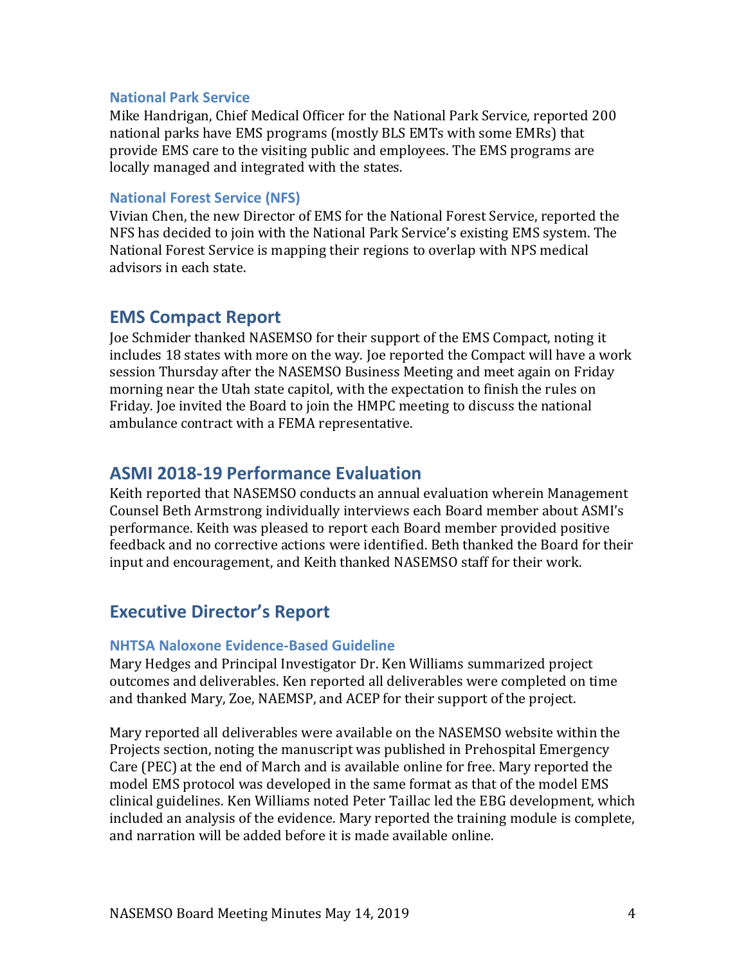#### **National Park Service**

Mike Handrigan, Chief Medical Officer for the National Park Service, reported 200 national parks have EMS programs (mostly BLS EMTs with some EMRs) that provide EMS care to the visiting public and employees. The EMS programs are locally managed and integrated with the states.

#### **National Forest Service (NFS)**

Vivian Chen, the new Director of EMS for the National Forest Service, reported the NFS has decided to join with the National Park Service's existing EMS system. The National Forest Service is mapping their regions to overlap with NPS medical advisors in each state.

## **EMS Compact Report**

Joe Schmider thanked NASEMSO for their support of the EMS Compact, noting it includes 18 states with more on the way. Joe reported the Compact will have a work session Thursday after the NASEMSO Business Meeting and meet again on Friday morning near the Utah state capitol, with the expectation to finish the rules on Friday. Joe invited the Board to join the HMPC meeting to discuss the national ambulance contract with a FEMA representative.

## **ASMI 2018-19 Performance Evaluation**

Keith reported that NASEMSO conducts an annual evaluation wherein Management Counsel Beth Armstrong individually interviews each Board member about ASMI's performance. Keith was pleased to report each Board member provided positive feedback and no corrective actions were identified. Beth thanked the Board for their input and encouragement, and Keith thanked NASEMSO staff for their work.

## **Executive Director's Report**

#### **NHTSA Naloxone Evidence-Based Guideline**

Mary Hedges and Principal Investigator Dr. Ken Williams summarized project outcomes and deliverables. Ken reported all deliverables were completed on time and thanked Mary, Zoe, NAEMSP, and ACEP for their support of the project.

Mary reported all deliverables were available on the NASEMSO website within the Projects section, noting the manuscript was published in Prehospital Emergency Care (PEC) at the end of March and is available online for free. Mary reported the model EMS protocol was developed in the same format as that of the model EMS clinical guidelines. Ken Williams noted Peter Taillac led the EBG development, which included an analysis of the evidence. Mary reported the training module is complete, and narration will be added before it is made available online.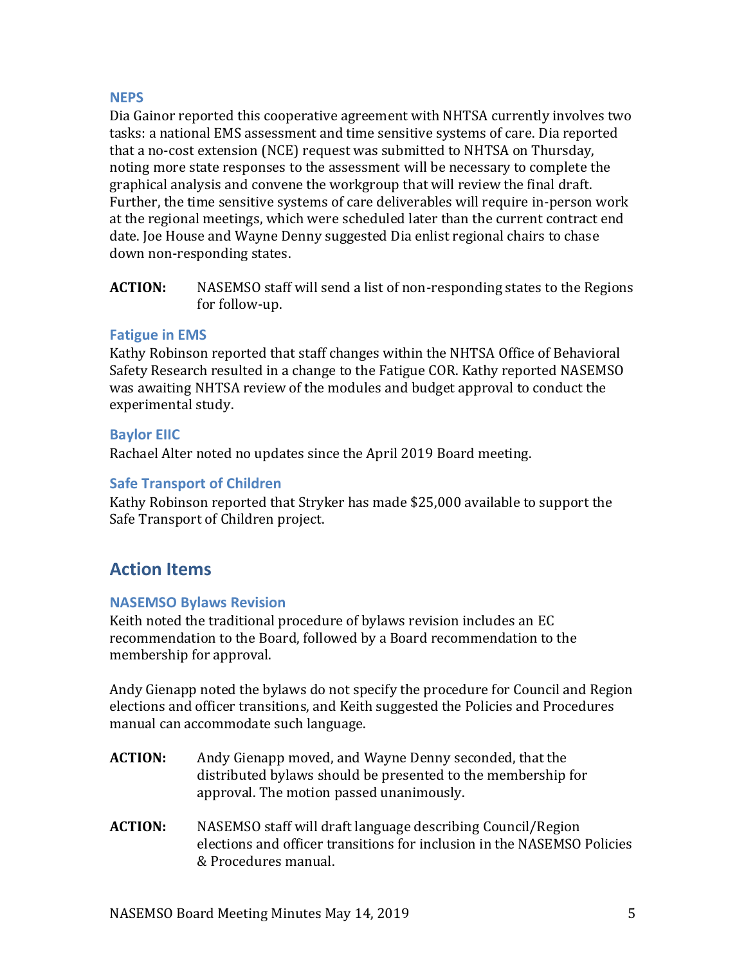#### **NEPS**

Dia Gainor reported this cooperative agreement with NHTSA currently involves two tasks: a national EMS assessment and time sensitive systems of care. Dia reported that a no-cost extension (NCE) request was submitted to NHTSA on Thursday, noting more state responses to the assessment will be necessary to complete the graphical analysis and convene the workgroup that will review the final draft. Further, the time sensitive systems of care deliverables will require in-person work at the regional meetings, which were scheduled later than the current contract end date. Joe House and Wayne Denny suggested Dia enlist regional chairs to chase down non-responding states.

**ACTION:** NASEMSO staff will send a list of non-responding states to the Regions for follow-up.

## **Fatigue in EMS**

Kathy Robinson reported that staff changes within the NHTSA Office of Behavioral Safety Research resulted in a change to the Fatigue COR. Kathy reported NASEMSO was awaiting NHTSA review of the modules and budget approval to conduct the experimental study.

#### **Baylor EIIC**

Rachael Alter noted no updates since the April 2019 Board meeting.

#### **Safe Transport of Children**

Kathy Robinson reported that Stryker has made \$25,000 available to support the Safe Transport of Children project.

## **Action Items**

## **NASEMSO Bylaws Revision**

Keith noted the traditional procedure of bylaws revision includes an EC recommendation to the Board, followed by a Board recommendation to the membership for approval.

Andy Gienapp noted the bylaws do not specify the procedure for Council and Region elections and officer transitions, and Keith suggested the Policies and Procedures manual can accommodate such language.

- **ACTION:** Andy Gienapp moved, and Wayne Denny seconded, that the distributed bylaws should be presented to the membership for approval. The motion passed unanimously.
- **ACTION:** NASEMSO staff will draft language describing Council/Region elections and officer transitions for inclusion in the NASEMSO Policies & Procedures manual.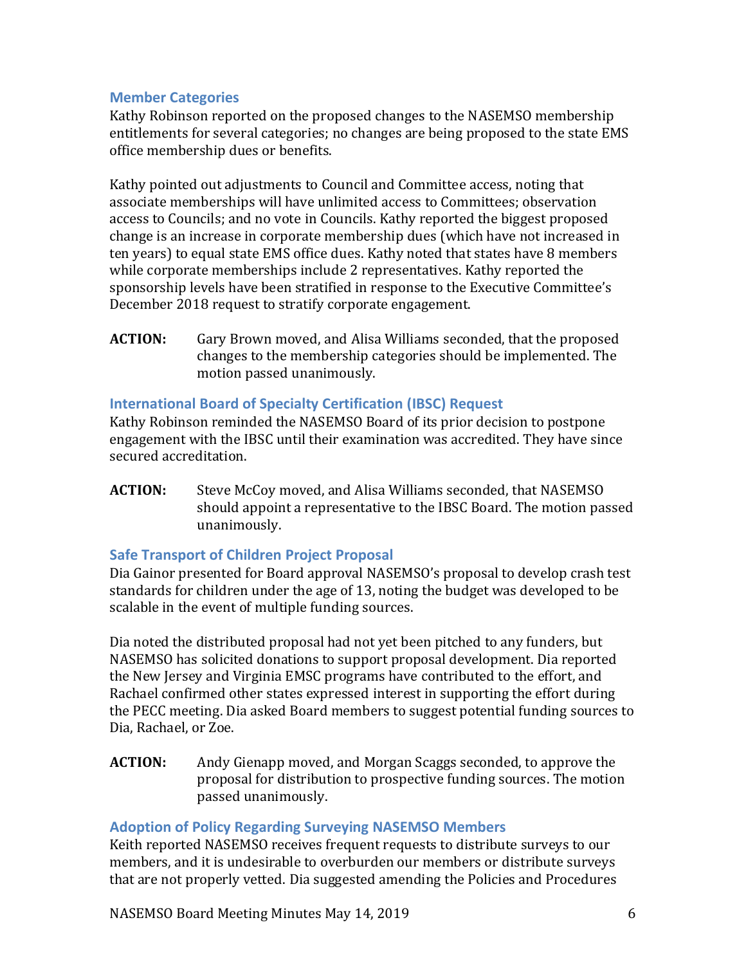## **Member Categories**

Kathy Robinson reported on the proposed changes to the NASEMSO membership entitlements for several categories; no changes are being proposed to the state EMS office membership dues or benefits.

Kathy pointed out adjustments to Council and Committee access, noting that associate memberships will have unlimited access to Committees; observation access to Councils; and no vote in Councils. Kathy reported the biggest proposed change is an increase in corporate membership dues (which have not increased in ten years) to equal state EMS office dues. Kathy noted that states have 8 members while corporate memberships include 2 representatives. Kathy reported the sponsorship levels have been stratified in response to the Executive Committee's December 2018 request to stratify corporate engagement.

**ACTION:** Gary Brown moved, and Alisa Williams seconded, that the proposed changes to the membership categories should be implemented. The motion passed unanimously.

## **International Board of Specialty Certification (IBSC) Request**

Kathy Robinson reminded the NASEMSO Board of its prior decision to postpone engagement with the IBSC until their examination was accredited. They have since secured accreditation.

**ACTION:** Steve McCoy moved, and Alisa Williams seconded, that NASEMSO should appoint a representative to the IBSC Board. The motion passed unanimously.

## **Safe Transport of Children Project Proposal**

Dia Gainor presented for Board approval NASEMSO's proposal to develop crash test standards for children under the age of 13, noting the budget was developed to be scalable in the event of multiple funding sources.

Dia noted the distributed proposal had not yet been pitched to any funders, but NASEMSO has solicited donations to support proposal development. Dia reported the New Jersey and Virginia EMSC programs have contributed to the effort, and Rachael confirmed other states expressed interest in supporting the effort during the PECC meeting. Dia asked Board members to suggest potential funding sources to Dia, Rachael, or Zoe.

**ACTION:** Andy Gienapp moved, and Morgan Scaggs seconded, to approve the proposal for distribution to prospective funding sources. The motion passed unanimously.

## **Adoption of Policy Regarding Surveying NASEMSO Members**

Keith reported NASEMSO receives frequent requests to distribute surveys to our members, and it is undesirable to overburden our members or distribute surveys that are not properly vetted. Dia suggested amending the Policies and Procedures